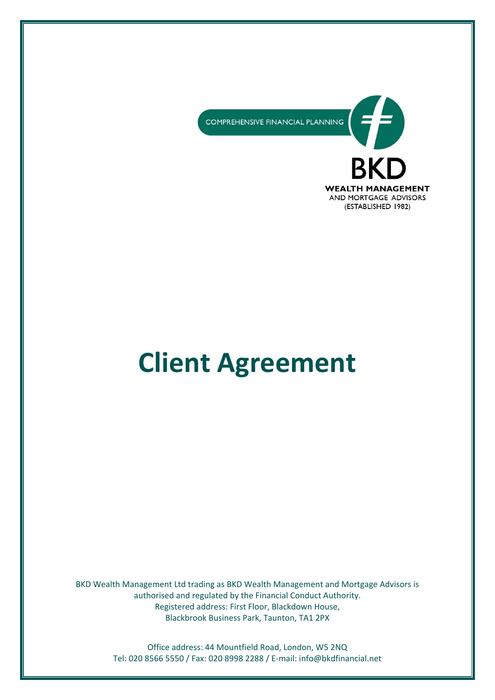COMPREHENSIVE FINANCIAL PLANNING



# **Client Agreement**

BKD Wealth Management Ltd trading as BKD Wealth Management and Mortgage Advisors is authorised and regulated by the Financial Conduct Authority. Registered address: First Floor, Blackdown House, Blackbrook Business Park, Taunton, TA1 2PX

> Office address: 44 Mountfield Road, London, W5 2NQ Tel: 020 8566 5550 / Fax: 020 8998 2288 / E-mail: [info@bkdfinancial.net](mailto:info@bkdfinancial.net)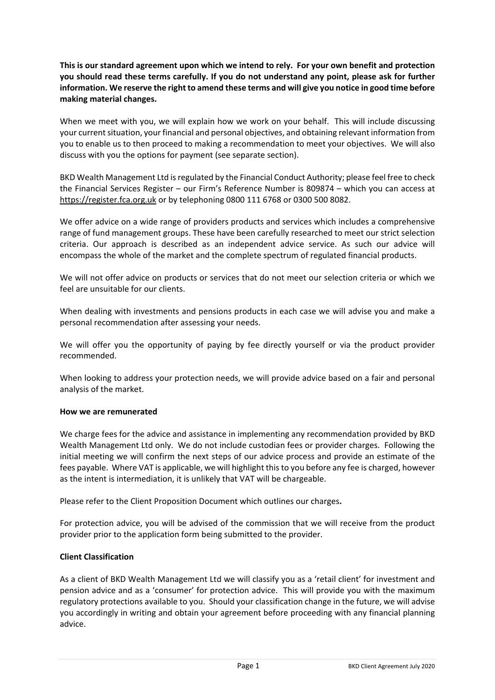**This is our standard agreement upon which we intend to rely. For your own benefit and protection you should read these terms carefully. If you do not understand any point, please ask for further information. We reserve the right to amend these terms and will give you notice in good time before making material changes.**

When we meet with you, we will explain how we work on your behalf. This will include discussing your current situation, your financial and personal objectives, and obtaining relevant information from you to enable us to then proceed to making a recommendation to meet your objectives. We will also discuss with you the options for payment (see separate section).

BKD Wealth Management Ltd is regulated by the Financial Conduct Authority; please feel free to check the Financial Services Register – our Firm's Reference Number is 809874 – which you can access at [https://register.fca.org.uk](https://register.fca.org.uk/) or by telephoning 0800 111 6768 or 0300 500 8082.

We offer advice on a wide range of providers products and services which includes a comprehensive range of fund management groups. These have been carefully researched to meet our strict selection criteria. Our approach is described as an independent advice service. As such our advice will encompass the whole of the market and the complete spectrum of regulated financial products.

We will not offer advice on products or services that do not meet our selection criteria or which we feel are unsuitable for our clients.

When dealing with investments and pensions products in each case we will advise you and make a personal recommendation after assessing your needs.

We will offer you the opportunity of paying by fee directly yourself or via the product provider recommended.

When looking to address your protection needs, we will provide advice based on a fair and personal analysis of the market.

#### **How we are remunerated**

We charge fees for the advice and assistance in implementing any recommendation provided by BKD Wealth Management Ltd only. We do not include custodian fees or provider charges. Following the initial meeting we will confirm the next steps of our advice process and provide an estimate of the fees payable. Where VAT is applicable, we will highlight this to you before any fee is charged, however as the intent is intermediation, it is unlikely that VAT will be chargeable.

Please refer to the Client Proposition Document which outlines our charges**.** 

For protection advice, you will be advised of the commission that we will receive from the product provider prior to the application form being submitted to the provider.

#### **Client Classification**

As a client of BKD Wealth Management Ltd we will classify you as a 'retail client' for investment and pension advice and as a 'consumer' for protection advice. This will provide you with the maximum regulatory protections available to you. Should your classification change in the future, we will advise you accordingly in writing and obtain your agreement before proceeding with any financial planning advice.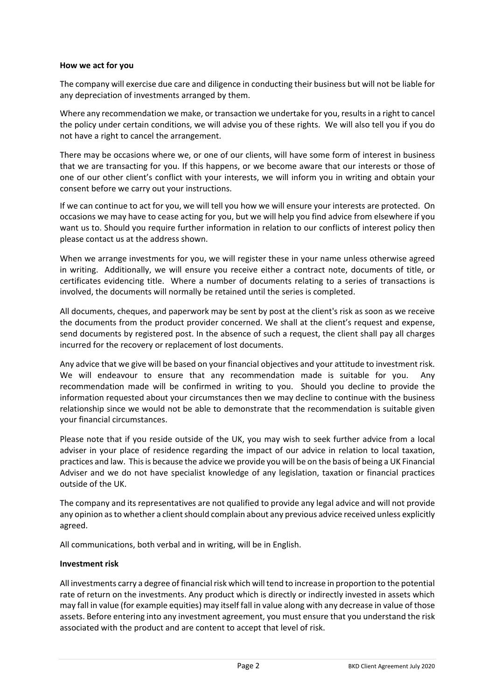#### **How we act for you**

The company will exercise due care and diligence in conducting their business but will not be liable for any depreciation of investments arranged by them.

Where any recommendation we make, or transaction we undertake for you, results in a right to cancel the policy under certain conditions, we will advise you of these rights. We will also tell you if you do not have a right to cancel the arrangement.

There may be occasions where we, or one of our clients, will have some form of interest in business that we are transacting for you. If this happens, or we become aware that our interests or those of one of our other client's conflict with your interests, we will inform you in writing and obtain your consent before we carry out your instructions.

If we can continue to act for you, we will tell you how we will ensure your interests are protected. On occasions we may have to cease acting for you, but we will help you find advice from elsewhere if you want us to. Should you require further information in relation to our conflicts of interest policy then please contact us at the address shown.

When we arrange investments for you, we will register these in your name unless otherwise agreed in writing. Additionally, we will ensure you receive either a contract note, documents of title, or certificates evidencing title. Where a number of documents relating to a series of transactions is involved, the documents will normally be retained until the series is completed.

All documents, cheques, and paperwork may be sent by post at the client's risk as soon as we receive the documents from the product provider concerned. We shall at the client's request and expense, send documents by registered post. In the absence of such a request, the client shall pay all charges incurred for the recovery or replacement of lost documents.

Any advice that we give will be based on your financial objectives and your attitude to investment risk. We will endeavour to ensure that any recommendation made is suitable for you. Any recommendation made will be confirmed in writing to you. Should you decline to provide the information requested about your circumstances then we may decline to continue with the business relationship since we would not be able to demonstrate that the recommendation is suitable given your financial circumstances.

Please note that if you reside outside of the UK, you may wish to seek further advice from a local adviser in your place of residence regarding the impact of our advice in relation to local taxation, practices and law. This is because the advice we provide you will be on the basis of being a UK Financial Adviser and we do not have specialist knowledge of any legislation, taxation or financial practices outside of the UK.

The company and its representatives are not qualified to provide any legal advice and will not provide any opinion as to whether a client should complain about any previous advice received unless explicitly agreed.

All communications, both verbal and in writing, will be in English.

# **Investment risk**

All investments carry a degree of financial risk which will tend to increase in proportion to the potential rate of return on the investments. Any product which is directly or indirectly invested in assets which may fall in value (for example equities) may itself fall in value along with any decrease in value of those assets. Before entering into any investment agreement, you must ensure that you understand the risk associated with the product and are content to accept that level of risk.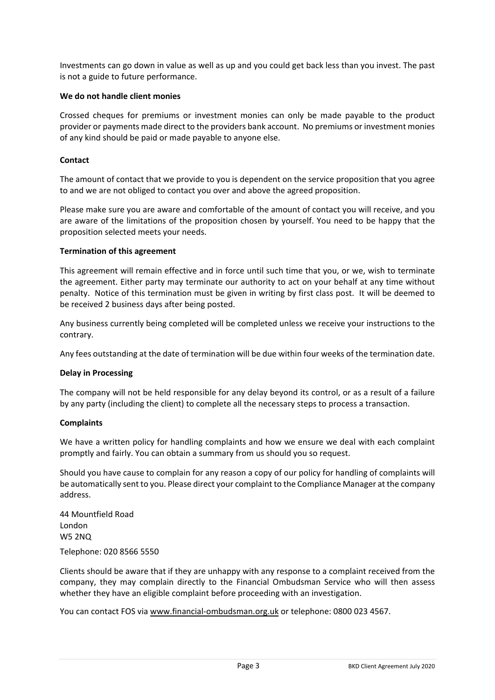Investments can go down in value as well as up and you could get back less than you invest. The past is not a guide to future performance.

## **We do not handle client monies**

Crossed cheques for premiums or investment monies can only be made payable to the product provider or payments made direct to the providers bank account. No premiums or investment monies of any kind should be paid or made payable to anyone else.

## **Contact**

The amount of contact that we provide to you is dependent on the service proposition that you agree to and we are not obliged to contact you over and above the agreed proposition.

Please make sure you are aware and comfortable of the amount of contact you will receive, and you are aware of the limitations of the proposition chosen by yourself. You need to be happy that the proposition selected meets your needs.

## **Termination of this agreement**

This agreement will remain effective and in force until such time that you, or we, wish to terminate the agreement. Either party may terminate our authority to act on your behalf at any time without penalty. Notice of this termination must be given in writing by first class post. It will be deemed to be received 2 business days after being posted.

Any business currently being completed will be completed unless we receive your instructions to the contrary.

Any fees outstanding at the date of termination will be due within four weeks of the termination date.

#### **Delay in Processing**

The company will not be held responsible for any delay beyond its control, or as a result of a failure by any party (including the client) to complete all the necessary steps to process a transaction.

#### **Complaints**

We have a written policy for handling complaints and how we ensure we deal with each complaint promptly and fairly. You can obtain a summary from us should you so request.

Should you have cause to complain for any reason a copy of our policy for handling of complaints will be automatically sent to you. Please direct your complaint to the Compliance Manager at the company address.

44 Mountfield Road London W5 2NQ Telephone: 020 8566 5550

Clients should be aware that if they are unhappy with any response to a complaint received from the company, they may complain directly to the Financial Ombudsman Service who will then assess whether they have an eligible complaint before proceeding with an investigation.

You can contact FOS vi[a www.financial-ombudsman.org.uk](http://www.financial-ombudsman.org.uk/) or telephone: 0800 023 4567.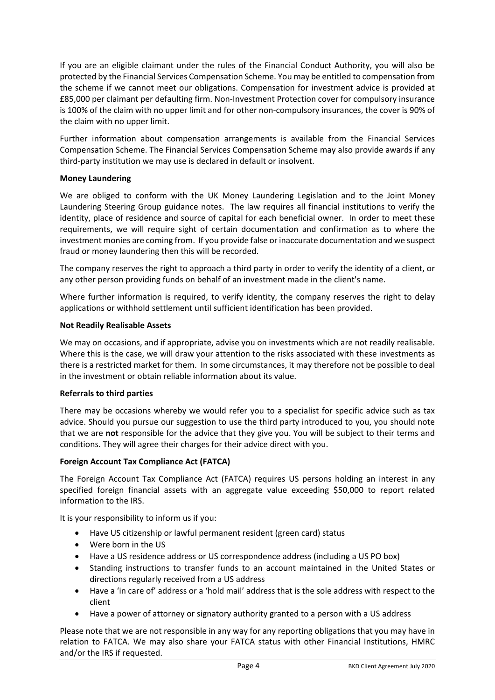If you are an eligible claimant under the rules of the Financial Conduct Authority, you will also be protected by the Financial Services Compensation Scheme. You may be entitled to compensation from the scheme if we cannot meet our obligations. Compensation for investment advice is provided at £85,000 per claimant per defaulting firm. Non-Investment Protection cover for compulsory insurance is 100% of the claim with no upper limit and for other non-compulsory insurances, the cover is 90% of the claim with no upper limit.

Further information about compensation arrangements is available from the Financial Services Compensation Scheme. The Financial Services Compensation Scheme may also provide awards if any third-party institution we may use is declared in default or insolvent.

# **Money Laundering**

We are obliged to conform with the UK Money Laundering Legislation and to the Joint Money Laundering Steering Group guidance notes. The law requires all financial institutions to verify the identity, place of residence and source of capital for each beneficial owner. In order to meet these requirements, we will require sight of certain documentation and confirmation as to where the investment monies are coming from. If you provide false or inaccurate documentation and we suspect fraud or money laundering then this will be recorded.

The company reserves the right to approach a third party in order to verify the identity of a client, or any other person providing funds on behalf of an investment made in the client's name.

Where further information is required, to verify identity, the company reserves the right to delay applications or withhold settlement until sufficient identification has been provided.

## **Not Readily Realisable Assets**

We may on occasions, and if appropriate, advise you on investments which are not readily realisable. Where this is the case, we will draw your attention to the risks associated with these investments as there is a restricted market for them. In some circumstances, it may therefore not be possible to deal in the investment or obtain reliable information about its value.

#### **Referrals to third parties**

There may be occasions whereby we would refer you to a specialist for specific advice such as tax advice. Should you pursue our suggestion to use the third party introduced to you, you should note that we are **not** responsible for the advice that they give you. You will be subject to their terms and conditions. They will agree their charges for their advice direct with you.

#### **Foreign Account Tax Compliance Act (FATCA)**

The Foreign Account Tax Compliance Act (FATCA) requires US persons holding an interest in any specified foreign financial assets with an aggregate value exceeding \$50,000 to report related information to the IRS.

It is your responsibility to inform us if you:

- Have US citizenship or lawful permanent resident (green card) status
- Were born in the US
- Have a US residence address or US correspondence address (including a US PO box)
- Standing instructions to transfer funds to an account maintained in the United States or directions regularly received from a US address
- Have a 'in care of' address or a 'hold mail' address that is the sole address with respect to the client
- Have a power of attorney or signatory authority granted to a person with a US address

Please note that we are not responsible in any way for any reporting obligations that you may have in relation to FATCA. We may also share your FATCA status with other Financial Institutions, HMRC and/or the IRS if requested.